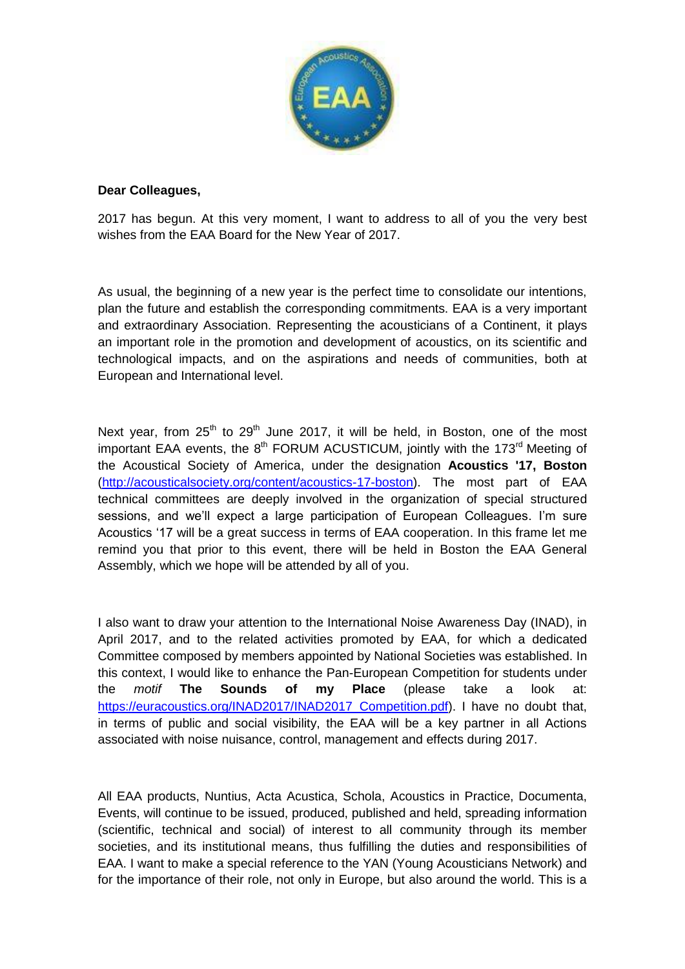

## **Dear Colleagues,**

2017 has begun. At this very moment, I want to address to all of you the very best wishes from the EAA Board for the New Year of 2017.

As usual, the beginning of a new year is the perfect time to consolidate our intentions, plan the future and establish the corresponding commitments. EAA is a very important and extraordinary Association. Representing the acousticians of a Continent, it plays an important role in the promotion and development of acoustics, on its scientific and technological impacts, and on the aspirations and needs of communities, both at European and International level.

Next year, from  $25<sup>th</sup>$  to  $29<sup>th</sup>$  June 2017, it will be held, in Boston, one of the most important EAA events, the  $8<sup>th</sup>$  FORUM ACUSTICUM, jointly with the 173<sup>rd</sup> Meeting of the Acoustical Society of America, under the designation **Acoustics '17, Boston** [\(http://acousticalsociety.org/content/acoustics-17-boston\)](http://acousticalsociety.org/content/acoustics-17-boston). The most part of EAA technical committees are deeply involved in the organization of special structured sessions, and we'll expect a large participation of European Colleagues. I'm sure Acoustics '17 will be a great success in terms of EAA cooperation. In this frame let me remind you that prior to this event, there will be held in Boston the EAA General Assembly, which we hope will be attended by all of you.

I also want to draw your attention to the International Noise Awareness Day (INAD), in April 2017, and to the related activities promoted by EAA, for which a dedicated Committee composed by members appointed by National Societies was established. In this context, I would like to enhance the Pan-European Competition for students under the *motif* **The Sounds of my Place** (please take a look at: [https://euracoustics.org/INAD2017/INAD2017\\_Competition.pdf\)](https://euracoustics.org/INAD2017/INAD2017_Competition.pdf). I have no doubt that, in terms of public and social visibility, the EAA will be a key partner in all Actions associated with noise nuisance, control, management and effects during 2017.

All EAA products, Nuntius, Acta Acustica, Schola, Acoustics in Practice, Documenta, Events, will continue to be issued, produced, published and held, spreading information (scientific, technical and social) of interest to all community through its member societies, and its institutional means, thus fulfilling the duties and responsibilities of EAA. I want to make a special reference to the YAN (Young Acousticians Network) and for the importance of their role, not only in Europe, but also around the world. This is a